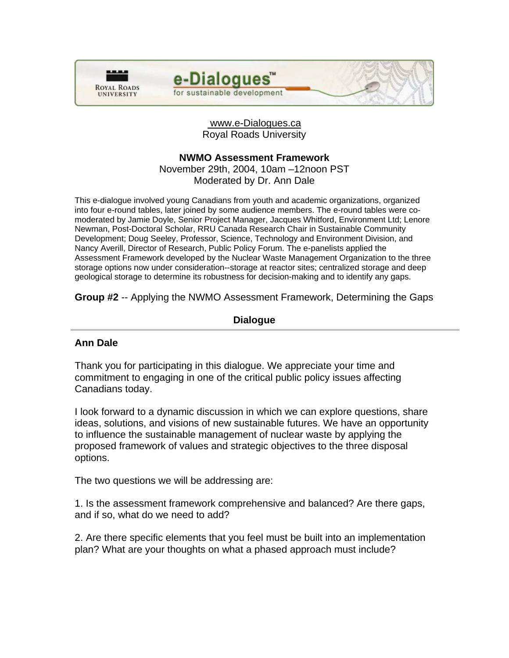



### www.e-Dialogues.ca Royal Roads University

# **NWMO Assessment Framework**

November 29th, 2004, 10am –12noon PST Moderated by Dr. Ann Dale

This e-dialogue involved young Canadians from youth and academic organizations, organized into four e-round tables, later joined by some audience members. The e-round tables were comoderated by Jamie Doyle, Senior Project Manager, Jacques Whitford, Environment Ltd; Lenore Newman, Post-Doctoral Scholar, RRU Canada Research Chair in Sustainable Community Development; Doug Seeley, Professor, Science, Technology and Environment Division, and Nancy Averill, Director of Research, Public Policy Forum. The e-panelists applied the Assessment Framework developed by the Nuclear Waste Management Organization to the three storage options now under consideration--storage at reactor sites; centralized storage and deep geological storage to determine its robustness for decision-making and to identify any gaps.

**Group #2** -- Applying the NWMO Assessment Framework, Determining the Gaps

# **Dialogue**

# **Ann Dale**

Thank you for participating in this dialogue. We appreciate your time and commitment to engaging in one of the critical public policy issues affecting Canadians today.

I look forward to a dynamic discussion in which we can explore questions, share ideas, solutions, and visions of new sustainable futures. We have an opportunity to influence the sustainable management of nuclear waste by applying the proposed framework of values and strategic objectives to the three disposal options.

The two questions we will be addressing are:

1. Is the assessment framework comprehensive and balanced? Are there gaps, and if so, what do we need to add?

2. Are there specific elements that you feel must be built into an implementation plan? What are your thoughts on what a phased approach must include?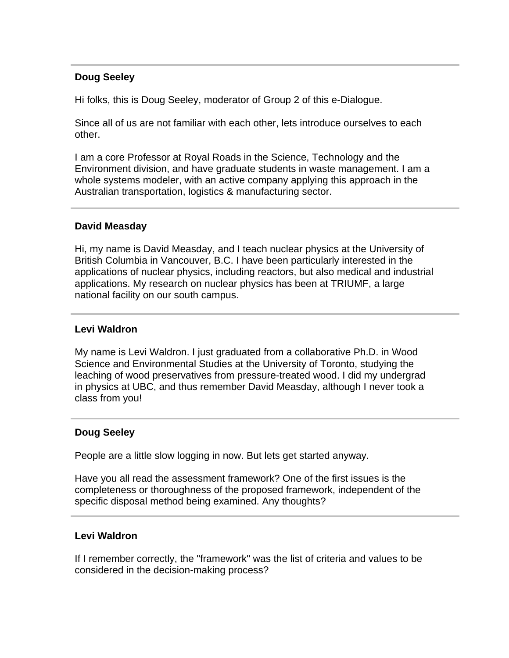# **Doug Seeley**

Hi folks, this is Doug Seeley, moderator of Group 2 of this e-Dialogue.

Since all of us are not familiar with each other, lets introduce ourselves to each other.

I am a core Professor at Royal Roads in the Science, Technology and the Environment division, and have graduate students in waste management. I am a whole systems modeler, with an active company applying this approach in the Australian transportation, logistics & manufacturing sector.

# **David Measday**

Hi, my name is David Measday, and I teach nuclear physics at the University of British Columbia in Vancouver, B.C. I have been particularly interested in the applications of nuclear physics, including reactors, but also medical and industrial applications. My research on nuclear physics has been at TRIUMF, a large national facility on our south campus.

### **Levi Waldron**

My name is Levi Waldron. I just graduated from a collaborative Ph.D. in Wood Science and Environmental Studies at the University of Toronto, studying the leaching of wood preservatives from pressure-treated wood. I did my undergrad in physics at UBC, and thus remember David Measday, although I never took a class from you!

### **Doug Seeley**

People are a little slow logging in now. But lets get started anyway.

Have you all read the assessment framework? One of the first issues is the completeness or thoroughness of the proposed framework, independent of the specific disposal method being examined. Any thoughts?

### **Levi Waldron**

If I remember correctly, the "framework" was the list of criteria and values to be considered in the decision-making process?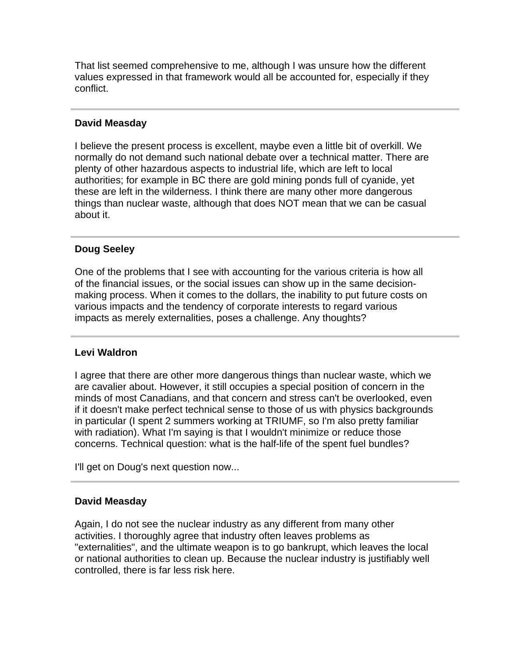That list seemed comprehensive to me, although I was unsure how the different values expressed in that framework would all be accounted for, especially if they conflict.

# **David Measday**

I believe the present process is excellent, maybe even a little bit of overkill. We normally do not demand such national debate over a technical matter. There are plenty of other hazardous aspects to industrial life, which are left to local authorities; for example in BC there are gold mining ponds full of cyanide, yet these are left in the wilderness. I think there are many other more dangerous things than nuclear waste, although that does NOT mean that we can be casual about it.

# **Doug Seeley**

One of the problems that I see with accounting for the various criteria is how all of the financial issues, or the social issues can show up in the same decisionmaking process. When it comes to the dollars, the inability to put future costs on various impacts and the tendency of corporate interests to regard various impacts as merely externalities, poses a challenge. Any thoughts?

# **Levi Waldron**

I agree that there are other more dangerous things than nuclear waste, which we are cavalier about. However, it still occupies a special position of concern in the minds of most Canadians, and that concern and stress can't be overlooked, even if it doesn't make perfect technical sense to those of us with physics backgrounds in particular (I spent 2 summers working at TRIUMF, so I'm also pretty familiar with radiation). What I'm saying is that I wouldn't minimize or reduce those concerns. Technical question: what is the half-life of the spent fuel bundles?

I'll get on Doug's next question now...

# **David Measday**

Again, I do not see the nuclear industry as any different from many other activities. I thoroughly agree that industry often leaves problems as "externalities", and the ultimate weapon is to go bankrupt, which leaves the local or national authorities to clean up. Because the nuclear industry is justifiably well controlled, there is far less risk here.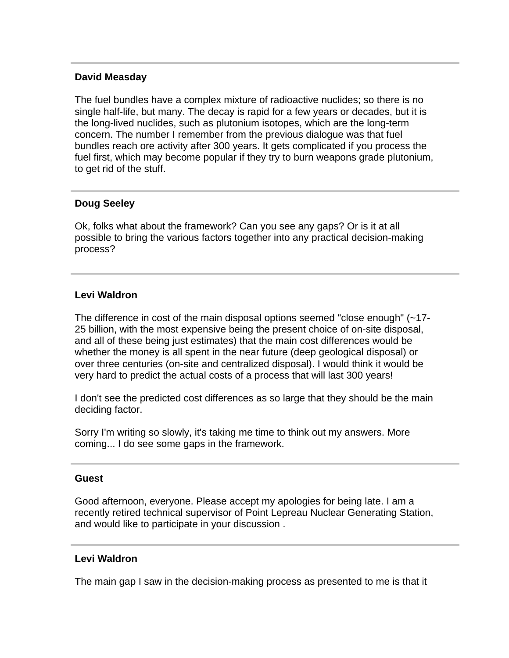### **David Measday**

The fuel bundles have a complex mixture of radioactive nuclides; so there is no single half-life, but many. The decay is rapid for a few years or decades, but it is the long-lived nuclides, such as plutonium isotopes, which are the long-term concern. The number I remember from the previous dialogue was that fuel bundles reach ore activity after 300 years. It gets complicated if you process the fuel first, which may become popular if they try to burn weapons grade plutonium, to get rid of the stuff.

# **Doug Seeley**

Ok, folks what about the framework? Can you see any gaps? Or is it at all possible to bring the various factors together into any practical decision-making process?

### **Levi Waldron**

The difference in cost of the main disposal options seemed "close enough" (~17- 25 billion, with the most expensive being the present choice of on-site disposal, and all of these being just estimates) that the main cost differences would be whether the money is all spent in the near future (deep geological disposal) or over three centuries (on-site and centralized disposal). I would think it would be very hard to predict the actual costs of a process that will last 300 years!

I don't see the predicted cost differences as so large that they should be the main deciding factor.

Sorry I'm writing so slowly, it's taking me time to think out my answers. More coming... I do see some gaps in the framework.

#### **Guest**

Good afternoon, everyone. Please accept my apologies for being late. I am a recently retired technical supervisor of Point Lepreau Nuclear Generating Station, and would like to participate in your discussion .

### **Levi Waldron**

The main gap I saw in the decision-making process as presented to me is that it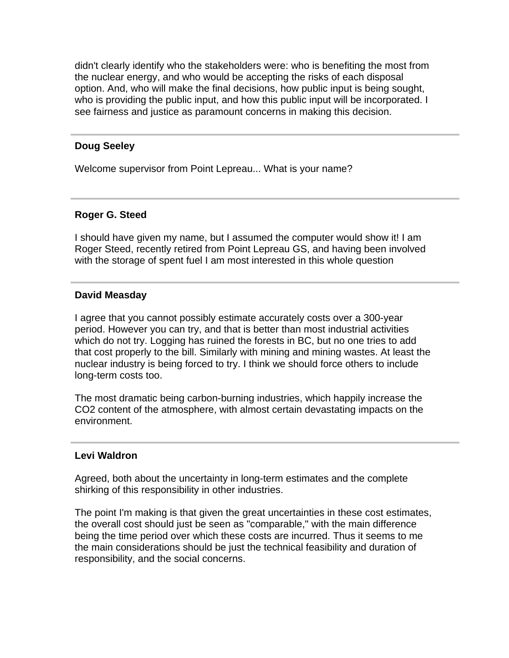didn't clearly identify who the stakeholders were: who is benefiting the most from the nuclear energy, and who would be accepting the risks of each disposal option. And, who will make the final decisions, how public input is being sought, who is providing the public input, and how this public input will be incorporated. I see fairness and justice as paramount concerns in making this decision.

### **Doug Seeley**

Welcome supervisor from Point Lepreau... What is your name?

### **Roger G. Steed**

I should have given my name, but I assumed the computer would show it! I am Roger Steed, recently retired from Point Lepreau GS, and having been involved with the storage of spent fuel I am most interested in this whole question

### **David Measday**

I agree that you cannot possibly estimate accurately costs over a 300-year period. However you can try, and that is better than most industrial activities which do not try. Logging has ruined the forests in BC, but no one tries to add that cost properly to the bill. Similarly with mining and mining wastes. At least the nuclear industry is being forced to try. I think we should force others to include long-term costs too.

The most dramatic being carbon-burning industries, which happily increase the CO2 content of the atmosphere, with almost certain devastating impacts on the environment.

### **Levi Waldron**

Agreed, both about the uncertainty in long-term estimates and the complete shirking of this responsibility in other industries.

The point I'm making is that given the great uncertainties in these cost estimates, the overall cost should just be seen as "comparable," with the main difference being the time period over which these costs are incurred. Thus it seems to me the main considerations should be just the technical feasibility and duration of responsibility, and the social concerns.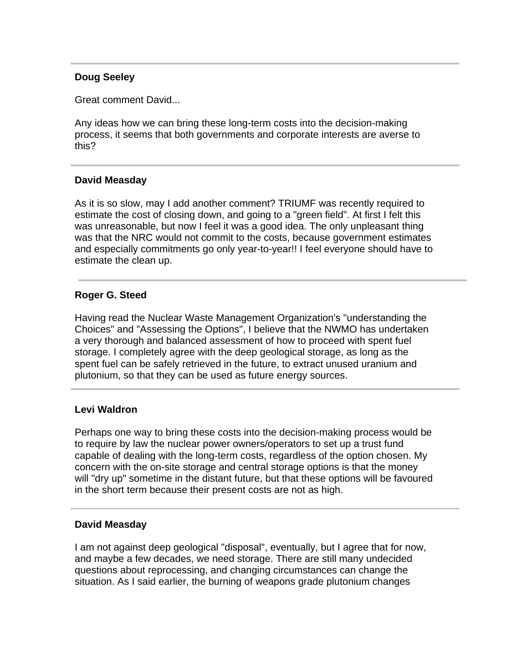# **Doug Seeley**

Great comment David...

Any ideas how we can bring these long-term costs into the decision-making process, it seems that both governments and corporate interests are averse to this?

### **David Measday**

As it is so slow, may I add another comment? TRIUMF was recently required to estimate the cost of closing down, and going to a "green field". At first I felt this was unreasonable, but now I feel it was a good idea. The only unpleasant thing was that the NRC would not commit to the costs, because government estimates and especially commitments go only year-to-year!! I feel everyone should have to estimate the clean up.

### **Roger G. Steed**

Having read the Nuclear Waste Management Organization's "understanding the Choices" and "Assessing the Options", I believe that the NWMO has undertaken a very thorough and balanced assessment of how to proceed with spent fuel storage. I completely agree with the deep geological storage, as long as the spent fuel can be safely retrieved in the future, to extract unused uranium and plutonium, so that they can be used as future energy sources.

# **Levi Waldron**

Perhaps one way to bring these costs into the decision-making process would be to require by law the nuclear power owners/operators to set up a trust fund capable of dealing with the long-term costs, regardless of the option chosen. My concern with the on-site storage and central storage options is that the money will "dry up" sometime in the distant future, but that these options will be favoured in the short term because their present costs are not as high.

### **David Measday**

I am not against deep geological "disposal", eventually, but I agree that for now, and maybe a few decades, we need storage. There are still many undecided questions about reprocessing, and changing circumstances can change the situation. As I said earlier, the burning of weapons grade plutonium changes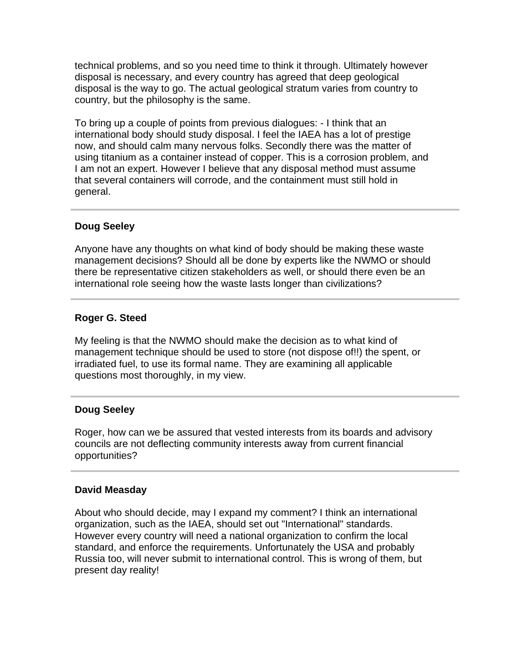technical problems, and so you need time to think it through. Ultimately however disposal is necessary, and every country has agreed that deep geological disposal is the way to go. The actual geological stratum varies from country to country, but the philosophy is the same.

To bring up a couple of points from previous dialogues: - I think that an international body should study disposal. I feel the IAEA has a lot of prestige now, and should calm many nervous folks. Secondly there was the matter of using titanium as a container instead of copper. This is a corrosion problem, and I am not an expert. However I believe that any disposal method must assume that several containers will corrode, and the containment must still hold in general.

# **Doug Seeley**

Anyone have any thoughts on what kind of body should be making these waste management decisions? Should all be done by experts like the NWMO or should there be representative citizen stakeholders as well, or should there even be an international role seeing how the waste lasts longer than civilizations?

# **Roger G. Steed**

My feeling is that the NWMO should make the decision as to what kind of management technique should be used to store (not dispose of!!) the spent, or irradiated fuel, to use its formal name. They are examining all applicable questions most thoroughly, in my view.

# **Doug Seeley**

Roger, how can we be assured that vested interests from its boards and advisory councils are not deflecting community interests away from current financial opportunities?

# **David Measday**

About who should decide, may I expand my comment? I think an international organization, such as the IAEA, should set out "International" standards. However every country will need a national organization to confirm the local standard, and enforce the requirements. Unfortunately the USA and probably Russia too, will never submit to international control. This is wrong of them, but present day reality!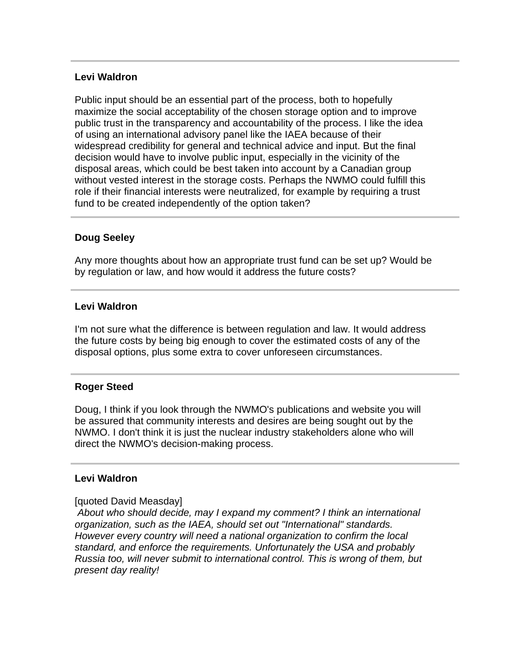# **Levi Waldron**

Public input should be an essential part of the process, both to hopefully maximize the social acceptability of the chosen storage option and to improve public trust in the transparency and accountability of the process. I like the idea of using an international advisory panel like the IAEA because of their widespread credibility for general and technical advice and input. But the final decision would have to involve public input, especially in the vicinity of the disposal areas, which could be best taken into account by a Canadian group without vested interest in the storage costs. Perhaps the NWMO could fulfill this role if their financial interests were neutralized, for example by requiring a trust fund to be created independently of the option taken?

# **Doug Seeley**

Any more thoughts about how an appropriate trust fund can be set up? Would be by regulation or law, and how would it address the future costs?

# **Levi Waldron**

I'm not sure what the difference is between regulation and law. It would address the future costs by being big enough to cover the estimated costs of any of the disposal options, plus some extra to cover unforeseen circumstances.

# **Roger Steed**

Doug, I think if you look through the NWMO's publications and website you will be assured that community interests and desires are being sought out by the NWMO. I don't think it is just the nuclear industry stakeholders alone who will direct the NWMO's decision-making process.

### **Levi Waldron**

### [quoted David Measday]

*About who should decide, may I expand my comment? I think an international organization, such as the IAEA, should set out "International" standards. However every country will need a national organization to confirm the local standard, and enforce the requirements. Unfortunately the USA and probably Russia too, will never submit to international control. This is wrong of them, but present day reality!*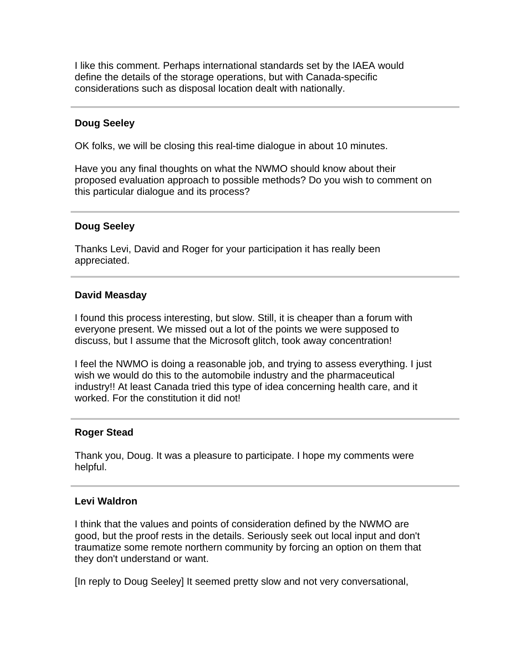I like this comment. Perhaps international standards set by the IAEA would define the details of the storage operations, but with Canada-specific considerations such as disposal location dealt with nationally.

# **Doug Seeley**

OK folks, we will be closing this real-time dialogue in about 10 minutes.

Have you any final thoughts on what the NWMO should know about their proposed evaluation approach to possible methods? Do you wish to comment on this particular dialogue and its process?

### **Doug Seeley**

Thanks Levi, David and Roger for your participation it has really been appreciated.

#### **David Measday**

I found this process interesting, but slow. Still, it is cheaper than a forum with everyone present. We missed out a lot of the points we were supposed to discuss, but I assume that the Microsoft glitch, took away concentration!

I feel the NWMO is doing a reasonable job, and trying to assess everything. I just wish we would do this to the automobile industry and the pharmaceutical industry!! At least Canada tried this type of idea concerning health care, and it worked. For the constitution it did not!

#### **Roger Stead**

Thank you, Doug. It was a pleasure to participate. I hope my comments were helpful.

#### **Levi Waldron**

I think that the values and points of consideration defined by the NWMO are good, but the proof rests in the details. Seriously seek out local input and don't traumatize some remote northern community by forcing an option on them that they don't understand or want.

[In reply to Doug Seeley] It seemed pretty slow and not very conversational,